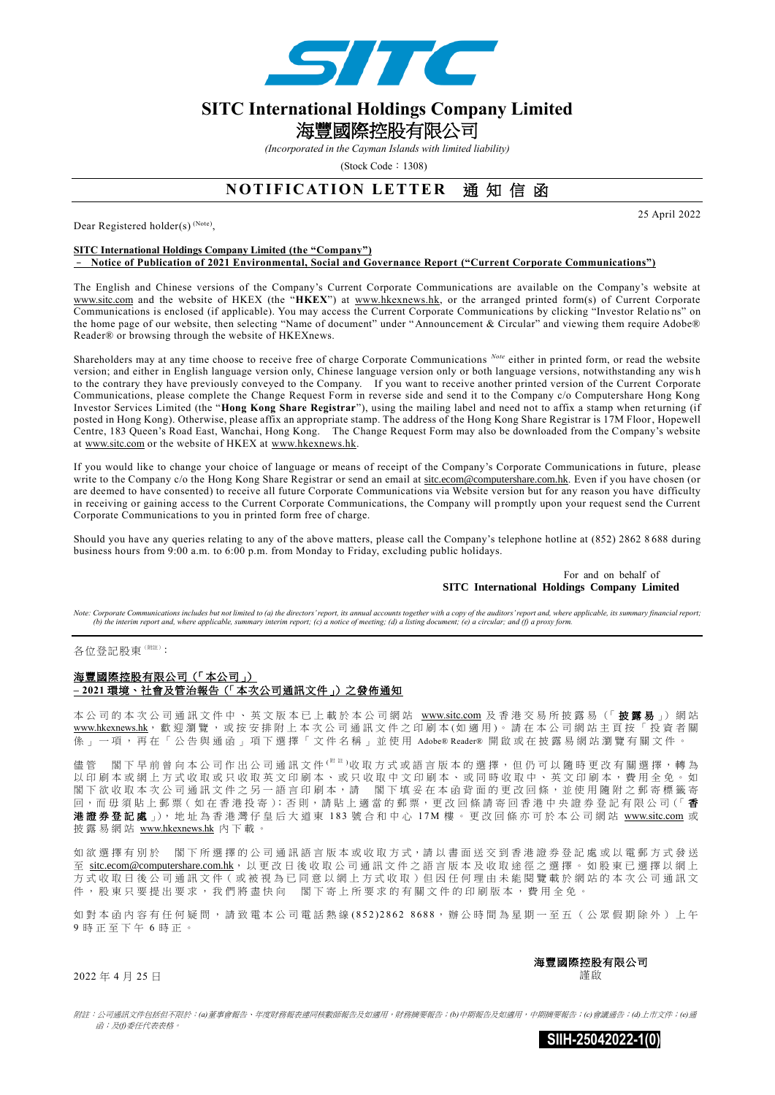

# **SITC International Holdings Company Limited**  海豐國際控股有限公司

*(Incorporated in the Cayman Islands with limited liability)* 

(Stock Code: 1308)

## **NOTIFICATION LETTER** 通知信函

Dear Registered holder(s)<sup>(Note)</sup>,

25 April 2022

#### **SITC International Holdings Company Limited (the "Company")** – **Notice of Publication of 2021 Environmental, Social and Governance Report ("Current Corporate Communications")**

The English and Chinese versions of the Company's Current Corporate Communications are available on the Company's website at www.sitc.com and the website of HKEX (the "**HKEX**") at [www.hkexnews.hk,](http://www.hkexnews.hk/) or the arranged printed form(s) of Current Corporate Communications is enclosed (if applicable). You may access the Current Corporate Communications by clicking "Investor Relatio ns" on the home page of our website, then selecting "Name of document" under "Announcement & Circular" and viewing them require Adobe® Reader® or browsing through the website of HKEXnews.

Shareholders may at any time choose to receive free of charge Corporate Communications Note either in printed form, or read the website version; and either in English language version only, Chinese language version only or both language versions, notwithstanding any wis h to the contrary they have previously conveyed to the Company. If you want to receive another printed version of the Current Corporate Communications, please complete the Change Request Form in reverse side and send it to the Company c/o Computershare Hong Kong Investor Services Limited (the "**Hong Kong Share Registrar**"), using the mailing label and need not to affix a stamp when returning (if posted in Hong Kong). Otherwise, please affix an appropriate stamp. The address of the Hong Kong Share Registrar is 17M Floor, Hopewell Centre, 183 Queen's Road East, Wanchai, Hong Kong. The Change Request Form may also be downloaded from the Company's website at www.sitc.com or the website of HKEX at [www.hkexnews.hk.](http://www.hkexnews.hk/)

If you would like to change your choice of language or means of receipt of the Company's Corporate Communications in future, please write to the Company c/o the Hong Kong Share Registrar or send an email at [sitc.ecom@computershare.com.hk.](mailto:sitc.ecom@computershare.com.hk) Even if you have chosen (or are deemed to have consented) to receive all future Corporate Communications via Website version but for any reason you have difficulty in receiving or gaining access to the Current Corporate Communications, the Company will p romptly upon your request send the Current Corporate Communications to you in printed form free of charge.

Should you have any queries relating to any of the above matters, please call the Company's telephone hotline at (852) 2862 8 688 during business hours from 9:00 a.m. to 6:00 p.m. from Monday to Friday, excluding public holidays.

#### For and on behalf of **SITC International Holdings Company Limited**

Note: Corporate Communications includes but not limited to (a) the directors' report, its annual accounts together with a copy of the auditors' report and, where applicable, its summary financial report; *(b) the interim report and, where applicable, summary interim report; (c) a notice of meeting; (d) a listing document; (e) a circular; and (f) a proxy form.*

各位登記股東(附注):

### 海豐國際控股有限公司(「本公司」) **– 2021** 環境、社會及管治報告(「本次公司通訊文件」)之發佈通知

本公司的本次公司通訊文件中、英文版本已上載於本公司網站 www.sitc.com 及香港交易所披露易(「披露易」) 網站 [www.hkexnews.hk](http://www.hkexnews.hk/), 歡迎瀏覽, 或按安排附上本次公司通訊文件之印刷本 (如適用)。請在本公司網站主頁按「投資者關 係」一項,再在「公告與通函」項下選擇「文件名稱」並使用 Adobe® Reader® 開啟或在披露易網站瀏覽有關文件。

儘管 閣下早前曾向本公司作出公司通訊文件( <sup>附 註 )</sup>收取方式或語言版本的選擇,但仍可以隨時更改有關選擇,轉為 以印刷本或網上方式收取或只收取英文印刷本、或只收取中文印刷本、或同時收取中、英文印刷本,費用全免。如 閣下欲收取本次公司通訊文件之另一語言印刷本,請 閣下填妥在本函背面的更改回條,並使用隨附之郵寄標籤寄 回,而毋須貼上郵票(如在香港投寄);否則,請貼上適當的郵票,更改回條請寄回香港中央證券登記有限公司(「香 港證券登記處 」), 地址為香港灣仔皇后大道東 183 號合和中心 17M 樓。更改回條亦可於本公司網站 www.sitc.com 或 披露易網站 [www.hkexnews.hk](http://www.hkexnews.hk/) 內 下 載 。

如欲選擇有別於 閣下所選擇的公司通訊語言版本或收取方式,請以書面送交到香港證券登記處或以電郵方式發送 至 [sitc.ecom@computershare.com.hk](mailto:sitc.ecom@computershare.com.hk), 以 更 改 日 後 收 取 公 司 通 訊 文 件 之 語 言 版 本 及 收 取 途 徑 之 選 擇 。 如 股 東 已 選 擇 以 網 上 方式收取日後公司通訊文件(或被視為已同意以網上方式收取)但因任何理由未能閱覽載於網站的本次公司通訊文 件,股東只要提出要求,我們將盡快向 閣下寄上所要求的有關文件的印刷版本,費用全免。

如對本函內容有任何疑問,請致電本公司電話熱線(852) 2862 8688,辦公時間為星期一至五(公眾假期除外)上午 9 時正至下午 6 時 正 。

> 海豐國際控股有限公司 謹啟

2022 年 4 月 25 日

附註:公司通訊文件包括但不限於:*(a)*董事會報告、年度財務報表連同核數師報告及如適用,財務摘要報告;*(b)*中期報告及如適用,中期摘要報告;*(c)*會議通告;*(d)*上市文件;*(e)*通 函;及*(f)*委任代表表格。